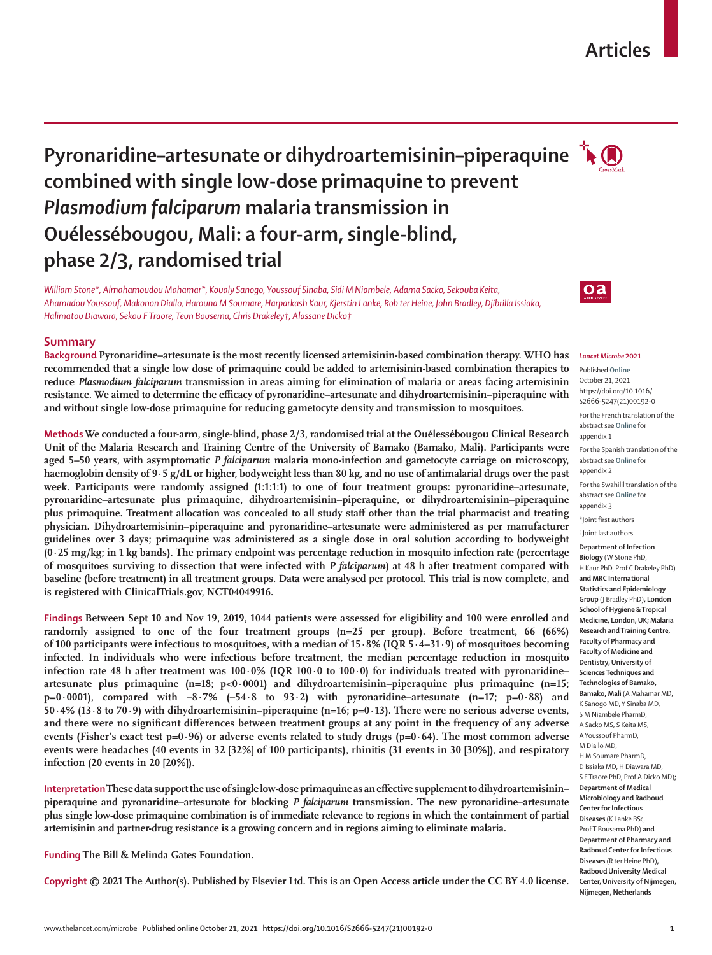# **Articles**

# **Pyronaridine–artesunate or dihydroartemisinin–piperaquine combined with single low-dose primaquine to prevent**  *Plasmodium falciparum* **malaria transmission in Ouélessébougou, Mali: a four-arm, single-blind, phase 2/3, randomised trial**

*William Stone\*, Almahamoudou Mahamar\*, Koualy Sanogo, Youssouf Sinaba, Sidi M Niambele, Adama Sacko, Sekouba Keita, Ahamadou Youssouf, Makonon Diallo, Harouna M Soumare, Harparkash Kaur, Kjerstin Lanke, Rob ter Heine, John Bradley, Djibrilla Issiaka, Halimatou Diawara, Sekou F Traore, Teun Bousema, Chris Drakeley†, Alassane Dicko†*

# **Summary**

**Background Pyronaridine–artesunate is the most recently licensed artemisinin-based combination therapy. WHO has recommended that a single low dose of primaquine could be added to artemisinin-based combination therapies to reduce** *Plasmodium falciparum* **transmission in areas aiming for elimination of malaria or areas facing artemisinin resistance. We aimed to determine the efficacy of pyronaridine–artesunate and dihydroartemisinin–piperaquine with and without single low-dose primaquine for reducing gametocyte density and transmission to mosquitoes.**

**Methods We conducted a four-arm, single-blind, phase 2/3, randomised trial at the Ouélessébougou Clinical Research Unit of the Malaria Research and Training Centre of the University of Bamako (Bamako, Mali). Participants were aged 5–50 years, with asymptomatic** *P falciparum* **malaria mono-infection and gametocyte carriage on microscopy, haemoglobin density of 9·5 g/dL or higher, bodyweight less than 80 kg, and no use of antimalarial drugs over the past week. Participants were randomly assigned (1:1:1:1) to one of four treatment groups: pyronaridine–artesunate, pyronaridine–artesunate plus primaquine, dihydroartemisinin–piperaquine, or dihydroartemisinin–piperaquine plus primaquine. Treatment allocation was concealed to all study staff other than the trial pharmacist and treating physician. Dihydroartemisinin–piperaquine and pyronaridine–artesunate were administered as per manufacturer guidelines over 3 days; primaquine was administered as a single dose in oral solution according to bodyweight (0·25 mg/kg; in 1 kg bands). The primary endpoint was percentage reduction in mosquito infection rate (percentage of mosquitoes surviving to dissection that were infected with** *P falciparum***) at 48 h after treatment compared with baseline (before treatment) in all treatment groups. Data were analysed per protocol. This trial is now complete, and is registered with ClinicalTrials.gov, NCT04049916.**

**Findings Between Sept 10 and Nov 19, 2019, 1044 patients were assessed for eligibility and 100 were enrolled and randomly assigned to one of the four treatment groups (n=25 per group). Before treatment, 66 (66%) of 100 participants were infectious to mosquitoes, with a median of 15·8% (IQR 5·4–31·9) of mosquitoes becoming infected. In individuals who were infectious before treatment, the median percentage reduction in mosquito infection rate 48 h after treatment was 100·0% (IQR 100·0 to 100·0) for individuals treated with pyronaridine– artesunate plus primaquine (n=18; p<0·0001) and dihydroartemisinin–piperaquine plus primaquine (n=15; p=0·0001), compared with –8·7% (–54·8 to 93·2) with pyronaridine–artesunate (n=17; p=0·88) and 50·4% (13·8 to 70·9) with dihydroartemisinin–piperaquine (n=16; p=0·13). There were no serious adverse events, and there were no significant differences between treatment groups at any point in the frequency of any adverse events (Fisher's exact test p=0·96) or adverse events related to study drugs (p=0·64). The most common adverse events were headaches (40 events in 32 [32%] of 100 participants), rhinitis (31 events in 30 [30%]), and respiratory infection (20 events in 20 [20%]).**

**Interpretation These data support the use of single low-dose primaquine as an effective supplement to dihydroartemisinin– piperaquine and pyronaridine–artesunate for blocking** *P falciparum* **transmission. The new pyronaridine–artesunate plus single low-dose primaquine combination is of immediate relevance to regions in which the containment of partial artemisinin and partner-drug resistance is a growing concern and in regions aiming to eliminate malaria.**

**Funding The Bill & Melinda Gates Foundation.**

**Copyright © 2021 The Author(s). Published by Elsevier Ltd. This is an Open Access article under the CC BY 4.0 license.**



#### *Lancet Microbe* **2021**

Published **Online** October 21, 2021 https://doi.org/10.1016/ S2666-5247(21)00192-0 For the French translation of the abstract see **Online** for appendix 1 For the Spanish translation of the abstract see **Online** for appendix 2 For the Swahilil translation of the abstract see **Online** for appendix 3 \*Joint first authors †Joint last authors **Department of Infection Biology** (W Stone PhD, H Kaur PhD, Prof C Drakeley PhD)

**and MRC International Statistics and Epidemiology Group** (J Bradley PhD)**, London School of Hygiene & Tropical Medicine, London, UK; Malaria Research and Training Centre, Faculty of Pharmacy and Faculty of Medicine and Dentistry, University of Sciences Techniques and Technologies of Bamako, Bamako, Mali** (A Mahamar MD, K Sanogo MD, Y Sinaba MD, S M Niambele PharmD, A Sacko MS, S Keita MS, A Youssouf PharmD, M Diallo MD, H M Soumare PharmD, D Issiaka MD, H Diawara MD, S F Traore PhD, Prof A Dicko MD)**; Department of Medical Microbiology and Radboud Center for Infectious Diseases** (K Lanke BSc, Prof T Bousema PhD) **and Department of Pharmacy and Radboud Center for Infectious Diseases** (R ter Heine PhD)**, Radboud University Medical Center, University of Nijmegen, Nijmegen, Netherlands**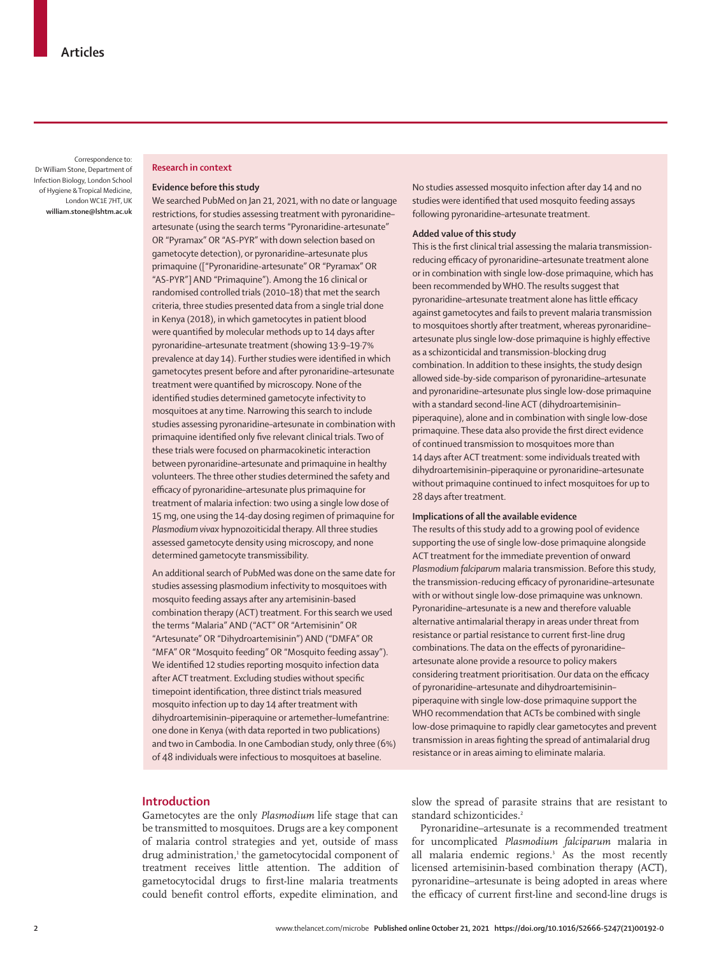Correspondence to: Dr William Stone, Department of Infection Biology, London School of Hygiene & Tropical Medicine, London WC1E 7HT, UK **william.stone@lshtm.ac.uk**

# **Research in context**

#### **Evidence before this study**

We searched PubMed on Jan 21, 2021, with no date or language restrictions, for studies assessing treatment with pyronaridine– artesunate (using the search terms "Pyronaridine-artesunate" OR "Pyramax" OR "AS-PYR" with down selection based on gametocyte detection), or pyronaridine–artesunate plus primaquine (["Pyronaridine-artesunate" OR "Pyramax" OR "AS-PYR"] AND "Primaquine"). Among the 16 clinical or randomised controlled trials (2010–18) that met the search criteria, three studies presented data from a single trial done in Kenya (2018), in which gametocytes in patient blood were quantified by molecular methods up to 14 days after pyronaridine–artesunate treatment (showing 13·9–19·7% prevalence at day 14). Further studies were identified in which gametocytes present before and after pyronaridine–artesunate treatment were quantified by microscopy. None of the identified studies determined gametocyte infectivity to mosquitoes at any time. Narrowing this search to include studies assessing pyronaridine–artesunate in combination with primaquine identified only five relevant clinical trials. Two of these trials were focused on pharmacokinetic interaction between pyronaridine–artesunate and primaquine in healthy volunteers. The three other studies determined the safety and efficacy of pyronaridine–artesunate plus primaquine for treatment of malaria infection: two using a single low dose of 15 mg, one using the 14-day dosing regimen of primaquine for *Plasmodium vivax* hypnozoiticidal therapy. All three studies assessed gametocyte density using microscopy, and none determined gametocyte transmissibility.

An additional search of PubMed was done on the same date for studies assessing plasmodium infectivity to mosquitoes with mosquito feeding assays after any artemisinin-based combination therapy (ACT) treatment. For this search we used the terms "Malaria" AND ("ACT" OR "Artemisinin" OR "Artesunate" OR "Dihydroartemisinin") AND ("DMFA" OR "MFA" OR "Mosquito feeding" OR "Mosquito feeding assay"). We identified 12 studies reporting mosquito infection data after ACT treatment. Excluding studies without specific timepoint identification, three distinct trials measured mosquito infection up to day 14 after treatment with dihydroartemisinin–piperaquine or artemether–lumefantrine: one done in Kenya (with data reported in two publications) and two in Cambodia. In one Cambodian study, only three (6%) of 48 individuals were infectious to mosquitoes at baseline.

No studies assessed mosquito infection after day 14 and no studies were identified that used mosquito feeding assays following pyronaridine–artesunate treatment.

# **Added value of this study**

This is the first clinical trial assessing the malaria transmissionreducing efficacy of pyronaridine–artesunate treatment alone or in combination with single low-dose primaquine, which has been recommended by WHO. The results suggest that pyronaridine–artesunate treatment alone has little efficacy against gametocytes and fails to prevent malaria transmission to mosquitoes shortly after treatment, whereas pyronaridine– artesunate plus single low-dose primaquine is highly effective as a schizonticidal and transmission-blocking drug combination. In addition to these insights, the study design allowed side-by-side comparison of pyronaridine–artesunate and pyronaridine–artesunate plus single low-dose primaquine with a standard second-line ACT (dihydroartemisinin– piperaquine), alone and in combination with single low-dose primaquine. These data also provide the first direct evidence of continued transmission to mosquitoes more than 14 days after ACT treatment: some individuals treated with dihydroartemisinin–piperaquine or pyronaridine–artesunate without primaquine continued to infect mosquitoes for up to 28 days after treatment.

#### **Implications of all the available evidence**

The results of this study add to a growing pool of evidence supporting the use of single low-dose primaquine alongside ACT treatment for the immediate prevention of onward *Plasmodium falciparum* malaria transmission. Before this study, the transmission-reducing efficacy of pyronaridine–artesunate with or without single low-dose primaquine was unknown. Pyronaridine–artesunate is a new and therefore valuable alternative antimalarial therapy in areas under threat from resistance or partial resistance to current first-line drug combinations. The data on the effects of pyronaridine– artesunate alone provide a resource to policy makers considering treatment prioritisation. Our data on the efficacy of pyronaridine–artesunate and dihydroartemisinin– piperaquine with single low-dose primaquine support the WHO recommendation that ACTs be combined with single low-dose primaquine to rapidly clear gametocytes and prevent transmission in areas fighting the spread of antimalarial drug resistance or in areas aiming to eliminate malaria.

#### **Introduction**

Gametocytes are the only *Plasmodium* life stage that can be transmitted to mosquitoes. Drugs are a key component of malaria control strategies and yet, outside of mass drug administration,<sup>1</sup> the gametocytocidal component of treatment receives little attention. The addition of gametocytocidal drugs to first-line malaria treatments could benefit control efforts, expedite elimination, and

slow the spread of parasite strains that are resistant to standard schizonticides.<sup>2</sup>

Pyronaridine–artesunate is a recommended treatment for uncomplicated *Plasmodium falciparum* malaria in all malaria endemic regions.<sup>3</sup> As the most recently licensed artemisinin-based combination therapy (ACT), pyronaridine–artesunate is being adopted in areas where the efficacy of current first-line and second-line drugs is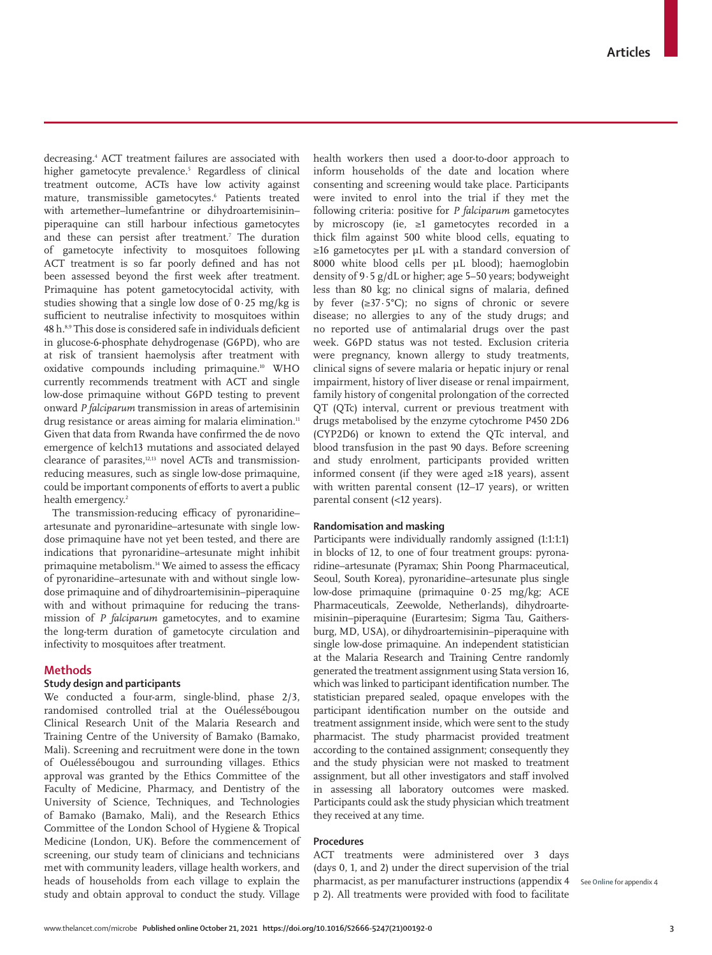decreasing.4 ACT treatment failures are associated with higher gametocyte prevalence.5 Regardless of clinical treatment outcome, ACTs have low activity against mature, transmissible gametocytes.6 Patients treated with artemether–lumefantrine or dihydroartemisinin– piperaquine can still harbour infectious gametocytes and these can persist after treatment.7 The duration of gametocyte infectivity to mosquitoes following ACT treatment is so far poorly defined and has not been assessed beyond the first week after treatment. Primaquine has potent gametocytocidal activity, with studies showing that a single low dose of  $0.25 \text{ mg/kg}$  is sufficient to neutralise infectivity to mosquitoes within 48 h.8,9 This dose is considered safe in individuals deficient in glucose-6-phosphate dehydrogenase (G6PD), who are at risk of transient haemolysis after treatment with oxidative compounds including primaquine.10 WHO currently recommends treatment with ACT and single low-dose primaquine without G6PD testing to prevent onward *P falciparum* transmission in areas of artemisinin drug resistance or areas aiming for malaria elimination.<sup>11</sup> Given that data from Rwanda have confirmed the de novo emergence of kelch13 mutations and associated delayed clearance of parasites,12,13 novel ACTs and transmissionreducing measures, such as single low-dose primaquine, could be important components of efforts to avert a public health emergency.<sup>2</sup>

The transmission-reducing efficacy of pyronaridine– artesunate and pyronaridine–artesunate with single lowdose primaquine have not yet been tested, and there are indications that pyronaridine–artesunate might inhibit primaquine metabolism.<sup>14</sup> We aimed to assess the efficacy of pyronaridine–artesunate with and without single lowdose primaquine and of dihydroartemisinin–piperaquine with and without primaquine for reducing the transmission of *P falciparum* gametocytes, and to examine the long-term duration of gametocyte circulation and infectivity to mosquitoes after treatment.

### **Methods**

# **Study design and participants**

We conducted a four-arm, single-blind, phase 2/3, randomised controlled trial at the Ouélessébougou Clinical Research Unit of the Malaria Research and Training Centre of the University of Bamako (Bamako, Mali). Screening and recruitment were done in the town of Ouélessébougou and surrounding villages. Ethics approval was granted by the Ethics Committee of the Faculty of Medicine, Pharmacy, and Dentistry of the University of Science, Techniques, and Technologies of Bamako (Bamako, Mali), and the Research Ethics Committee of the London School of Hygiene & Tropical Medicine (London, UK). Before the commencement of screening, our study team of clinicians and technicians met with community leaders, village health workers, and heads of households from each village to explain the study and obtain approval to conduct the study. Village

health workers then used a door-to-door approach to inform households of the date and location where consenting and screening would take place. Participants were invited to enrol into the trial if they met the following criteria: positive for *P falciparum* gametocytes by microscopy (ie, ≥1 gametocytes recorded in a thick film against 500 white blood cells, equating to ≥16 gametocytes per µL with a standard conversion of 8000 white blood cells per µL blood); haemoglobin density of 9·5 g/dL or higher; age 5–50 years; bodyweight less than 80 kg; no clinical signs of malaria, defined by fever  $(\geq 37.5^{\circ}C)$ ; no signs of chronic or severe disease; no allergies to any of the study drugs; and no reported use of antimalarial drugs over the past week. G6PD status was not tested. Exclusion criteria were pregnancy, known allergy to study treatments, clinical signs of severe malaria or hepatic injury or renal impairment, history of liver disease or renal impairment, family history of congenital prolongation of the corrected QT (QTc) interval, current or previous treatment with drugs metabolised by the enzyme cytochrome P450 2D6 (CYP2D6) or known to extend the QTc interval, and blood transfusion in the past 90 days. Before screening and study enrolment, participants provided written informed consent (if they were aged ≥18 years), assent with written parental consent (12–17 years), or written parental consent (<12 years).

### **Randomisation and masking**

Participants were individually randomly assigned (1:1:1:1) in blocks of 12, to one of four treatment groups: pyronaridine–artesunate (Pyramax; Shin Poong Pharmaceutical, Seoul, South Korea), pyronaridine–artesunate plus single low-dose primaquine (primaquine 0·25 mg/kg; ACE Pharmaceuticals, Zeewolde, Netherlands), dihydroartemisinin–piperaquine (Eurartesim; Sigma Tau, Gaithersburg, MD, USA), or dihydroartemisinin–piperaquine with single low-dose primaquine. An independent statistician at the Malaria Research and Training Centre randomly generated the treatment assignment using Stata version 16, which was linked to participant identification number. The statistician prepared sealed, opaque envelopes with the participant identification number on the outside and treatment assignment inside, which were sent to the study pharmacist. The study pharmacist provided treatment according to the contained assignment; consequently they and the study physician were not masked to treatment assignment, but all other investigators and staff involved in assessing all laboratory outcomes were masked. Participants could ask the study physician which treatment they received at any time.

## **Procedures**

ACT treatments were administered over 3 days (days 0, 1, and 2) under the direct supervision of the trial pharmacist, as per manufacturer instructions (appendix 4 p 2). All treatments were provided with food to facilitate

See **Online** for appendix 4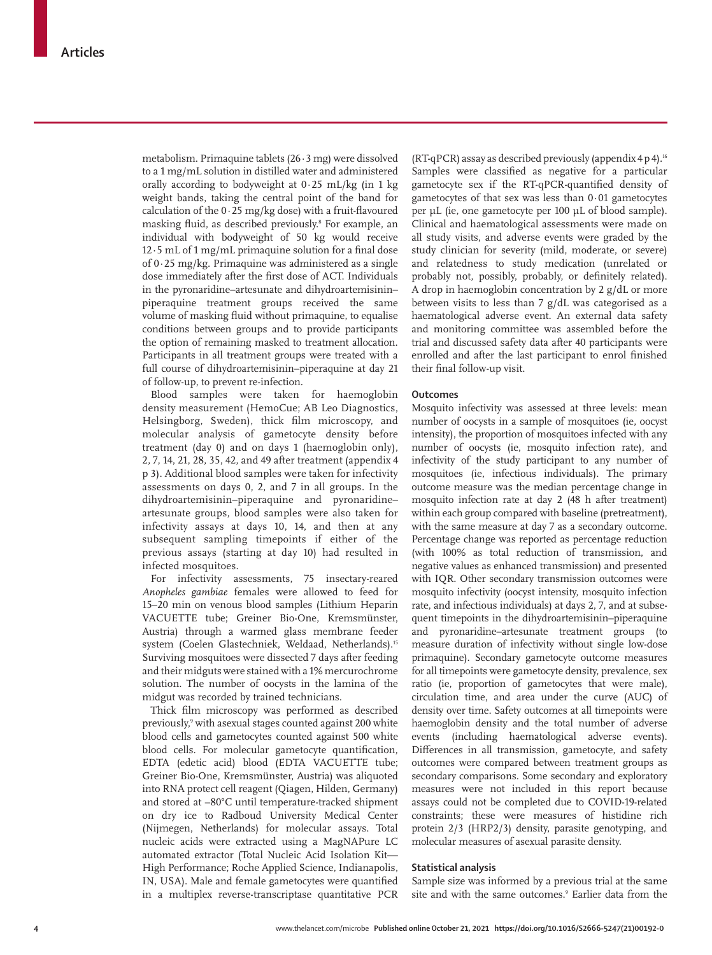metabolism. Primaquine tablets  $(26.3 \text{ mg})$  were dissolved to a 1 mg/mL solution in distilled water and administered orally according to bodyweight at  $0.25$  mL/kg (in 1 kg) weight bands, taking the central point of the band for calculation of the 0·25 mg/kg dose) with a fruit-flavoured masking fluid, as described previously.8 For example, an individual with bodyweight of 50 kg would receive 12·5 mL of 1 mg/mL primaquine solution for a final dose of 0·25 mg/kg. Primaquine was administered as a single dose immediately after the first dose of ACT. Individuals in the pyronaridine–artesunate and dihydroartemisinin– piperaquine treatment groups received the same volume of masking fluid without primaquine, to equalise conditions between groups and to provide participants the option of remaining masked to treatment allocation. Participants in all treatment groups were treated with a full course of dihydroartemisinin–piperaquine at day 21 of follow-up, to prevent re-infection.

Blood samples were taken for haemoglobin density measurement (HemoCue; AB Leo Diagnostics, Helsingborg, Sweden), thick film microscopy, and molecular analysis of gametocyte density before treatment (day 0) and on days 1 (haemoglobin only), 2, 7, 14, 21, 28, 35, 42, and 49 after treatment (appendix 4 p 3). Additional blood samples were taken for infectivity assessments on days 0, 2, and 7 in all groups. In the dihydroartemisinin–piperaquine and pyronaridine– artesunate groups, blood samples were also taken for infectivity assays at days 10, 14, and then at any subsequent sampling timepoints if either of the previous assays (starting at day 10) had resulted in infected mosquitoes.

For infectivity assessments, 75 insectary-reared *Anopheles gambiae* females were allowed to feed for 15–20 min on venous blood samples (Lithium Heparin VACUETTE tube; Greiner Bio-One, Kremsmünster, Austria) through a warmed glass membrane feeder system (Coelen Glastechniek, Weldaad, Netherlands).15 Surviving mosquitoes were dissected 7 days after feeding and their midguts were stained with a 1% mercurochrome solution. The number of oocysts in the lamina of the midgut was recorded by trained technicians.

Thick film microscopy was performed as described previously,9 with asexual stages counted against 200 white blood cells and gametocytes counted against 500 white blood cells. For molecular gametocyte quantification, EDTA (edetic acid) blood (EDTA VACUETTE tube; Greiner Bio-One, Kremsmünster, Austria) was aliquoted into RNA protect cell reagent (Qiagen, Hilden, Germany) and stored at −80°C until temperature-tracked shipment on dry ice to Radboud University Medical Center (Nijmegen, Netherlands) for molecular assays. Total nucleic acids were extracted using a MagNAPure LC automated extractor (Total Nucleic Acid Isolation Kit— High Performance; Roche Applied Science, Indianapolis, IN, USA). Male and female gametocytes were quantified in a multiplex reverse-transcriptase quantitative PCR

(RT-qPCR) assay as described previously (appendix  $4 p 4$ ).<sup>16</sup> Samples were classified as negative for a particular gametocyte sex if the RT-qPCR-quantified density of gametocytes of that sex was less than 0·01 gametocytes per μL (ie, one gametocyte per 100 μL of blood sample). Clinical and haematological assessments were made on all study visits, and adverse events were graded by the study clinician for severity (mild, moderate, or severe) and relatedness to study medication (unrelated or probably not, possibly, probably, or definitely related). A drop in haemoglobin concentration by 2 g/dL or more between visits to less than 7 g/dL was categorised as a haematological adverse event. An external data safety and monitoring committee was assembled before the trial and discussed safety data after 40 participants were enrolled and after the last participant to enrol finished their final follow-up visit.

### **Outcomes**

Mosquito infectivity was assessed at three levels: mean number of oocysts in a sample of mosquitoes (ie, oocyst intensity), the proportion of mosquitoes infected with any number of oocysts (ie, mosquito infection rate), and infectivity of the study participant to any number of mosquitoes (ie, infectious individuals). The primary outcome measure was the median percentage change in mosquito infection rate at day 2 (48 h after treatment) within each group compared with baseline (pretreatment), with the same measure at day 7 as a secondary outcome. Percentage change was reported as percentage reduction (with 100% as total reduction of transmission, and negative values as enhanced transmission) and presented with IQR. Other secondary transmission outcomes were mosquito infectivity (oocyst intensity, mosquito infection rate, and infectious individuals) at days 2, 7, and at subsequent timepoints in the dihydroartemisinin–piperaquine and pyronaridine–artesunate treatment groups (to measure duration of infectivity without single low-dose primaquine). Secondary gametocyte outcome measures for all timepoints were gametocyte density, prevalence, sex ratio (ie, proportion of gametocytes that were male), circulation time, and area under the curve (AUC) of density over time. Safety outcomes at all timepoints were haemoglobin density and the total number of adverse events (including haematological adverse events). Differences in all transmission, gametocyte, and safety outcomes were compared between treatment groups as secondary comparisons. Some secondary and exploratory measures were not included in this report because assays could not be completed due to COVID-19-related constraints; these were measures of histidine rich protein 2/3 (HRP2/3) density, parasite genotyping, and molecular measures of asexual parasite density.

### **Statistical analysis**

Sample size was informed by a previous trial at the same site and with the same outcomes.<sup>9</sup> Earlier data from the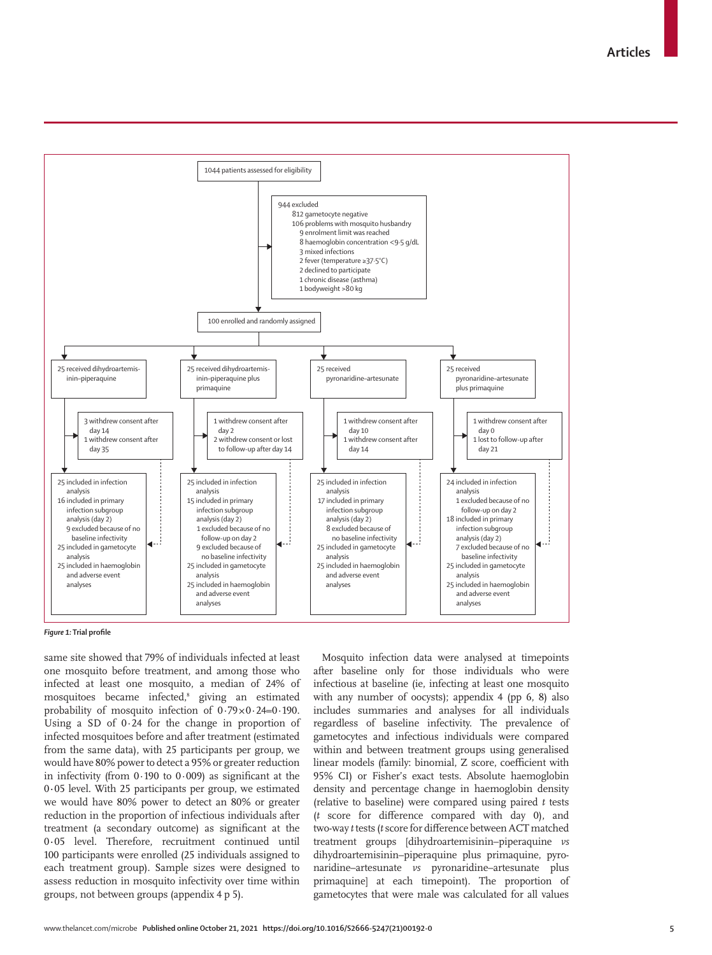**Articles**



#### *Figure 1:* **Trial profile**

same site showed that 79% of individuals infected at least one mosquito before treatment, and among those who infected at least one mosquito, a median of 24% of mosquitoes became infected,8 giving an estimated probability of mosquito infection of  $0.79 \times 0.24 = 0.190$ . Using a SD of 0·24 for the change in proportion of infected mosquitoes before and after treatment (estimated from the same data), with 25 participants per group, we would have 80% power to detect a 95% or greater reduction in infectivity (from  $0.190$  to  $0.009$ ) as significant at the 0**·**05 level. With 25 participants per group, we estimated we would have 80% power to detect an 80% or greater reduction in the proportion of infectious individuals after treatment (a secondary outcome) as significant at the 0**·**05 level. Therefore, recruitment continued until 100 participants were enrolled (25 individuals assigned to each treatment group). Sample sizes were designed to assess reduction in mosquito infectivity over time within groups, not between groups (appendix 4 p 5).

Mosquito infection data were analysed at timepoints after baseline only for those individuals who were infectious at baseline (ie, infecting at least one mosquito with any number of oocysts); appendix 4 (pp 6, 8) also includes summaries and analyses for all individuals regardless of baseline infectivity. The prevalence of gametocytes and infectious individuals were compared within and between treatment groups using generalised linear models (family: binomial, Z score, coefficient with 95% CI) or Fisher's exact tests. Absolute haemoglobin density and percentage change in haemoglobin density (relative to baseline) were compared using paired *t* tests (*t* score for difference compared with day 0), and two-way *t* tests (*t* score for difference between ACT matched treatment groups [dihydroartemisinin–piperaquine *vs* dihydroartemisinin–piperaquine plus primaquine, pyronaridine–artesunate *vs* pyronaridine–artesunate plus primaquine] at each timepoint). The proportion of gametocytes that were male was calculated for all values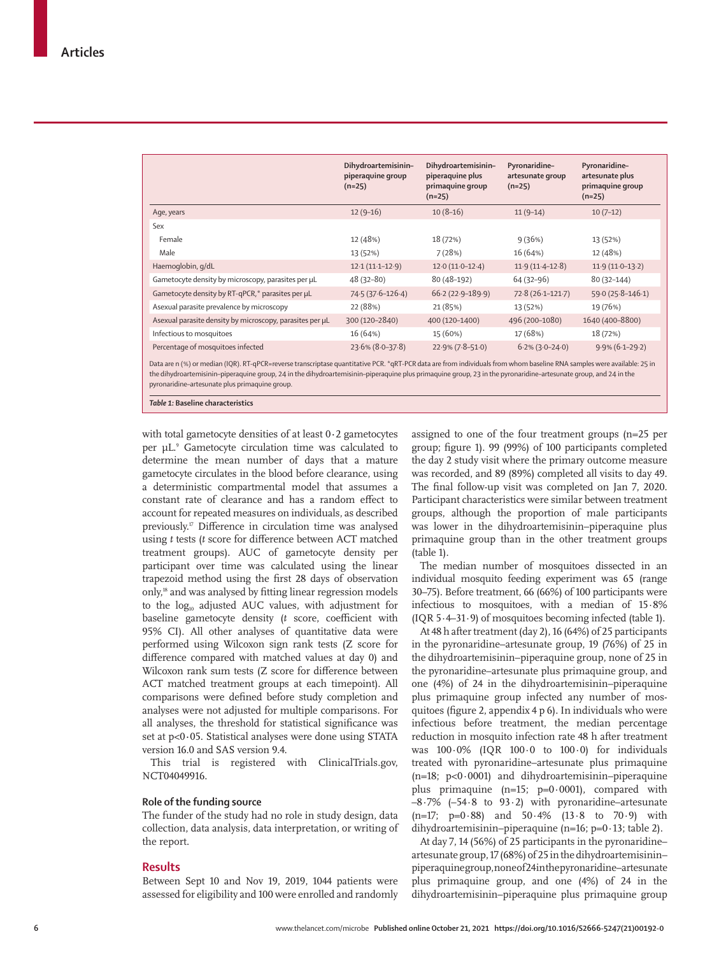|                                                                                                                                                                                                                                | Dihydroartemisinin-<br>piperaquine group<br>$(n=25)$ | Dihydroartemisinin-<br>piperaquine plus<br>primaquine group<br>$(n=25)$ | Pyronaridine-<br>artesunate group<br>$(n=25)$ | Pyronaridine-<br>artesunate plus<br>primaquine group<br>$(n=25)$ |
|--------------------------------------------------------------------------------------------------------------------------------------------------------------------------------------------------------------------------------|------------------------------------------------------|-------------------------------------------------------------------------|-----------------------------------------------|------------------------------------------------------------------|
| Age, years                                                                                                                                                                                                                     | $12(9-16)$                                           | $10(8-16)$                                                              | $11(9-14)$                                    | $10(7-12)$                                                       |
| Sex                                                                                                                                                                                                                            |                                                      |                                                                         |                                               |                                                                  |
| Female                                                                                                                                                                                                                         | 12 (48%)                                             | 18 (72%)                                                                | 9(36%)                                        | 13 (52%)                                                         |
| Male                                                                                                                                                                                                                           | 13 (52%)                                             | 7(28%)                                                                  | 16 (64%)                                      | 12 (48%)                                                         |
| Haemoglobin, g/dL                                                                                                                                                                                                              | $12.1(11.1-12.9)$                                    | $12.0(11.0-12.4)$                                                       | $11.9(11.4-12.8)$                             | $11.9(11.0-13.2)$                                                |
| Gametocyte density by microscopy, parasites per µL                                                                                                                                                                             | 48 (32-80)                                           | 80 (48-192)                                                             | 64 (32-96)                                    | $80(32-144)$                                                     |
| Gametocyte density by RT-qPCR,* parasites per µL                                                                                                                                                                               | 74.5 (37.6-126.4)                                    | $66.2(22.9 - 189.9)$                                                    | $72.8(26.1-121.7)$                            | $59.0(25.8 - 146.1)$                                             |
| Asexual parasite prevalence by microscopy                                                                                                                                                                                      | 22 (88%)                                             | 21 (85%)                                                                | 13 (52%)                                      | 19 (76%)                                                         |
| Asexual parasite density by microscopy, parasites per µL                                                                                                                                                                       | 300 (120-2840)                                       | 400 (120-1400)                                                          | 496 (200-1080)                                | 1640 (400-8800)                                                  |
| Infectious to mosquitoes                                                                                                                                                                                                       | 16 (64%)                                             | 15 (60%)                                                                | 17 (68%)                                      | 18 (72%)                                                         |
| Percentage of mosquitoes infected<br>Detailed in 1971 and the 1900 DT and no except the contraction of the BCD detailed in from the distribution because because DNIA consideration on the total the DNIA consideration of the | $23.6\% (8.0 - 37.8)$                                | $22.9\% (7.8 - 51.0)$                                                   | $6.2\%$ (3.0–24.0)                            | $9.9\%$ (6.1-29.2)                                               |

Data are n (%) or median (IQR). RT-qPCR=reverse transcriptase quantitative PCR. \*qRT-PCR data are from individuals from whom baseline RNA samples were available: 25 in the dihydroartemisinin–piperaquine group, 24 in the dihydroartemisinin–piperaquine plus primaquine group, 23 in the pyronaridine–artesunate group, and 24 in the pyronaridine–artesunate plus primaquine group.

*Table 1:* **Baseline characteristics**

with total gametocyte densities of at least 0**·**2 gametocytes per µL. 9 Gametocyte circulation time was calculated to determine the mean number of days that a mature gametocyte circulates in the blood before clearance, using a deterministic compartmental model that assumes a constant rate of clearance and has a random effect to account for repeated measures on individuals, as described previously.17 Difference in circulation time was analysed using *t* tests (*t* score for difference between ACT matched treatment groups). AUC of gametocyte density per participant over time was calculated using the linear trapezoid method using the first 28 days of observation only,18 and was analysed by fitting linear regression models to the  $log_{10}$  adjusted AUC values, with adjustment for baseline gametocyte density (*t* score, coefficient with 95% CI). All other analyses of quantitative data were performed using Wilcoxon sign rank tests (Z score for difference compared with matched values at day 0) and Wilcoxon rank sum tests (Z score for difference between ACT matched treatment groups at each timepoint). All comparisons were defined before study completion and analyses were not adjusted for multiple comparisons. For all analyses, the threshold for statistical significance was set at p<0**·**05. Statistical analyses were done using STATA version 16.0 and SAS version 9.4.

This trial is registered with ClinicalTrials.gov, NCT04049916.

#### **Role of the funding source**

The funder of the study had no role in study design, data collection, data analysis, data interpretation, or writing of the report.

# **Results**

Between Sept 10 and Nov 19, 2019, 1044 patients were assessed for eligibility and 100 were enrolled and randomly assigned to one of the four treatment groups (n=25 per group; figure 1). 99 (99%) of 100 participants completed the day 2 study visit where the primary outcome measure was recorded, and 89 (89%) completed all visits to day 49. The final follow-up visit was completed on Jan 7, 2020. Participant characteristics were similar between treatment groups, although the proportion of male participants was lower in the dihydroartemisinin–piperaquine plus primaquine group than in the other treatment groups (table 1).

The median number of mosquitoes dissected in an individual mosquito feeding experiment was 65 (range 30–75). Before treatment, 66 (66%) of 100 participants were infectious to mosquitoes, with a median of 15·8% (IQR 5·4–31·9) of mosquitoes becoming infected (table 1).

At 48 h after treatment (day 2), 16 (64%) of 25 participants in the pyronaridine–artesunate group, 19 (76%) of 25 in the dihydroartemisinin–piperaquine group, none of 25 in the pyronaridine–artesunate plus primaquine group, and one (4%) of 24 in the dihydroartemisinin–piperaquine plus primaquine group infected any number of mosquitoes (figure 2, appendix 4 p 6). In individuals who were infectious before treatment, the median percentage reduction in mosquito infection rate 48 h after treatment was 100·0% (IQR 100·0 to 100·0) for individuals treated with pyronaridine–artesunate plus primaquine (n=18; p<0·0001) and dihydroartemisinin–piperaquine plus primaquine  $(n=15; p=0.0001)$ , compared with  $-8.7\%$  ( $-54.8$  to  $93.2$ ) with pyronaridine–artesunate  $(n=17; p=0.88)$  and  $50.4%$   $(13.8 \text{ to } 70.9)$  with dihydroartemisinin–piperaquine (n=16; p=0·13; table 2).

At day 7, 14 (56%) of 25 participants in the pyronaridine– artesunate group, 17 (68%) of 25 in the dihydroartemisinin– piperaquine group, none of 24 in the pyronaridine–artesunate plus primaquine group, and one (4%) of 24 in the dihydroartemisinin–piperaquine plus primaquine group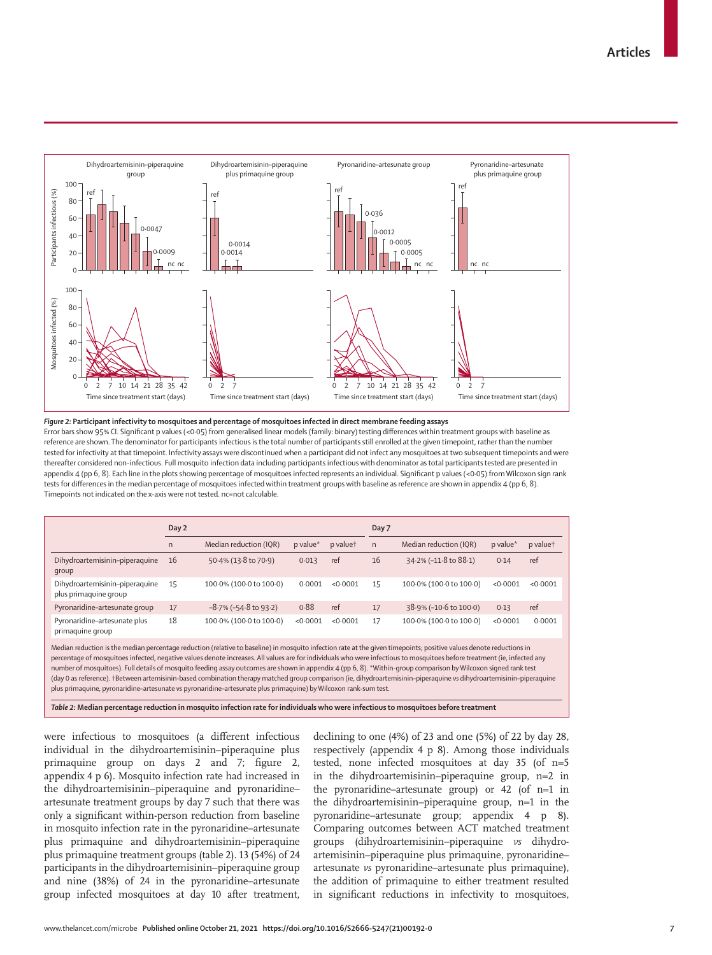

#### *Figure 2:* **Participant infectivity to mosquitoes and percentage of mosquitoes infected in direct membrane feeding assays**

Error bars show 95% CI. Significant p values (<0·05) from generalised linear models (family: binary) testing differences within treatment groups with baseline as reference are shown. The denominator for participants infectious is the total number of participants still enrolled at the given timepoint, rather than the number tested for infectivity at that timepoint. Infectivity assays were discontinued when a participant did not infect any mosquitoes at two subsequent timepoints and were thereafter considered non-infectious. Full mosquito infection data including participants infectious with denominator as total participants tested are presented in appendix 4 (pp 6, 8). Each line in the plots showing percentage of mosquitoes infected represents an individual. Significant p values (<0·05) from Wilcoxon sign rank tests for differences in the median percentage of mosquitoes infected within treatment groups with baseline as reference are shown in appendix 4 (pp 6, 8). Timepoints not indicated on the x-axis were not tested. nc=not calculable.

|                                                         | Day 2 |                             |               |          | Day 7        |                         |          |          |  |  |
|---------------------------------------------------------|-------|-----------------------------|---------------|----------|--------------|-------------------------|----------|----------|--|--|
|                                                         | n.    | Median reduction (IQR)      | $p$ value $*$ | p valuet | $\mathsf{n}$ | Median reduction (IQR)  | p value* | p valuet |  |  |
| Dihydroartemisinin-piperaguine<br>qroup                 | 16    | 50.4% (13.8 to 70.9)        | 0.013         | ref      | 16           | 34.2% (-11.8 to 88.1)   | 0.14     | ref      |  |  |
| Dihydroartemisinin-piperaquine<br>plus primaquine group | 15    | 100.0% (100.0 to 100.0)     | 0.0001        | < 0.0001 | 15           | 100.0% (100.0 to 100.0) | < 0.0001 | < 0.0001 |  |  |
| Pyronaridine-artesunate group                           | 17    | $-8.7\%$ ( $-54.8$ to 93.2) | 0.88          | ref      | 17           | 38.9% (-10.6 to 100.0)  | 0.13     | ref      |  |  |
| Pyronaridine-artesunate plus<br>primaguine group        | 18    | 100.0% (100.0 to 100.0)     | < 0.0001      | < 0.0001 | 17           | 100.0% (100.0 to 100.0) | < 0.0001 | 0.0001   |  |  |

Median reduction is the median percentage reduction (relative to baseline) in mosquito infection rate at the given timepoints; positive values denote reductions in percentage of mosquitoes infected, negative values denote increases. All values are for individuals who were infectious to mosquitoes before treatment (ie, infected any number of mosquitoes). Full details of mosquito feeding assay outcomes are shown in appendix 4 (pp 6, 8). \*Within-group comparison by Wilcoxon signed rank test (day 0 as reference). †Between artemisinin-based combination therapy matched group comparison (ie, dihydroartemisinin–piperaquine *vs* dihydroartemisinin–piperaquine plus primaquine, pyronaridine–artesunate *vs* pyronaridine–artesunate plus primaquine) by Wilcoxon rank-sum test.

*Table 2:* **Median percentage reduction in mosquito infection rate for individuals who were infectious to mosquitoes before treatment**

were infectious to mosquitoes (a different infectious individual in the dihydroartemisinin–piperaquine plus primaquine group on days 2 and 7; figure 2, appendix 4 p 6). Mosquito infection rate had increased in the dihydroartemisinin–piperaquine and pyronaridine– artesunate treatment groups by day 7 such that there was only a significant within-person reduction from baseline in mosquito infection rate in the pyronaridine–artesunate plus primaquine and dihydroartemisinin–piperaquine plus primaquine treatment groups (table 2). 13 (54%) of 24 participants in the dihydroartemisinin–piperaquine group and nine (38%) of 24 in the pyronaridine–artesunate group infected mosquitoes at day 10 after treatment, declining to one (4%) of 23 and one (5%) of 22 by day 28, respectively (appendix 4 p 8). Among those individuals tested, none infected mosquitoes at day 35 (of n=5 in the dihydroartemisinin–piperaquine group, n=2 in the pyronaridine–artesunate group) or 42 (of n=1 in the dihydroartemisinin–piperaquine group, n=1 in the pyronaridine–artesunate group; appendix 4 p 8). Comparing outcomes between ACT matched treatment groups (dihydroartemisinin–piperaquine *vs* dihydroartemisinin–piperaquine plus primaquine, pyronaridine– artesunate *vs* pyronaridine–artesunate plus primaquine), the addition of primaquine to either treatment resulted in significant reductions in infectivity to mosquitoes,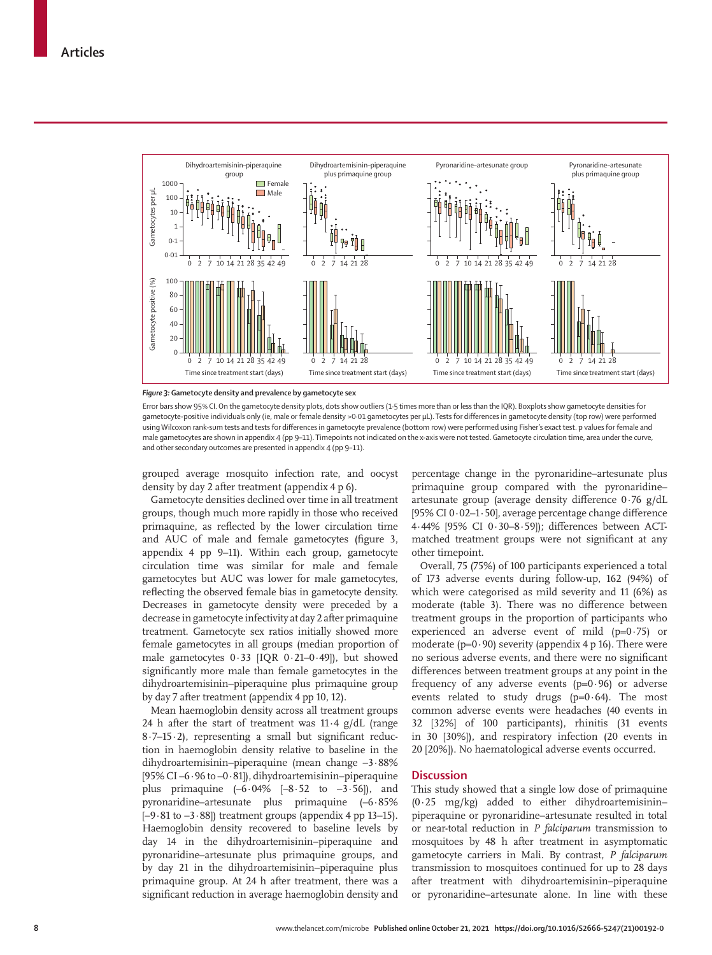

*Figure 3:* **Gametocyte density and prevalence by gametocyte sex**

Error bars show 95% CI. On the gametocyte density plots, dots show outliers (1·5 times more than or less than the IQR). Boxplots show gametocyte densities for gametocyte-positive individuals only (ie, male or female density >0·01 gametocytes per µL). Tests for differences in gametocyte density (top row) were performed using Wilcoxon rank-sum tests and tests for differences in gametocyte prevalence (bottom row) were performed using Fisher's exact test. p values for female and male gametocytes are shown in appendix 4 (pp 9–11). Timepoints not indicated on the x-axis were not tested. Gametocyte circulation time, area under the curve, and other secondary outcomes are presented in appendix 4 (pp 9–11).

grouped average mosquito infection rate, and oocyst density by day 2 after treatment (appendix 4 p 6).

Gametocyte densities declined over time in all treatment groups, though much more rapidly in those who received primaquine, as reflected by the lower circulation time and AUC of male and female gametocytes (figure 3, appendix 4 pp 9–11). Within each group, gametocyte circulation time was similar for male and female gametocytes but AUC was lower for male gametocytes, reflecting the observed female bias in gametocyte density. Decreases in gametocyte density were preceded by a decrease in gametocyte infectivity at day 2 after primaquine treatment. Gametocyte sex ratios initially showed more female gametocytes in all groups (median proportion of male gametocytes 0·33 [IQR 0·21–0·49]), but showed significantly more male than female gametocytes in the dihydroartemisinin–piperaquine plus primaquine group by day 7 after treatment (appendix 4 pp 10, 12).

Mean haemoglobin density across all treatment groups 24 h after the start of treatment was  $11.4$  g/dL (range 8·7–15·2), representing a small but significant reduction in haemoglobin density relative to baseline in the dihydroartemisinin–piperaquine (mean change –3·88% [95% CI –6·96 to –0·81]), dihydroartemisinin–piperaquine plus primaquine  $(-6.04\%$   $[-8.52$  to  $-3.56]$ , and pyronaridine–artesunate plus primaquine (–6·85%  $[-9.81 \text{ to } -3.88]$  treatment groups (appendix 4 pp 13–15). Haemoglobin density recovered to baseline levels by day 14 in the dihydroartemisinin–piperaquine and pyronaridine–artesunate plus primaquine groups, and by day 21 in the dihydroartemisinin–piperaquine plus primaquine group. At 24 h after treatment, there was a significant reduction in average haemoglobin density and percentage change in the pyronaridine–artesunate plus primaquine group compared with the pyronaridine– artesunate group (average density difference 0·76 g/dL [95% CI 0·02–1·50], average percentage change difference 4·44% [95% CI 0·30–8·59]); differences between ACTmatched treatment groups were not significant at any other timepoint.

Overall, 75 (75%) of 100 participants experienced a total of 173 adverse events during follow-up, 162 (94%) of which were categorised as mild severity and 11 (6%) as moderate (table 3). There was no difference between treatment groups in the proportion of participants who experienced an adverse event of mild (p=0·75) or moderate ( $p=0.90$ ) severity (appendix 4 p 16). There were no serious adverse events, and there were no significant differences between treatment groups at any point in the frequency of any adverse events  $(p=0.96)$  or adverse events related to study drugs  $(p=0.64)$ . The most common adverse events were headaches (40 events in 32 [32%] of 100 participants), rhinitis (31 events in 30 [30%]), and respiratory infection (20 events in 20 [20%]). No haematological adverse events occurred.

#### **Discussion**

This study showed that a single low dose of primaquine  $(0.25 \text{ mg/kg})$  added to either dihydroartemisininpiperaquine or pyronaridine–artesunate resulted in total or near-total reduction in *P falciparum* transmission to mosquitoes by 48 h after treatment in asymptomatic gametocyte carriers in Mali. By contrast, *P falciparum*  transmission to mosquitoes continued for up to 28 days after treatment with dihydroartemisinin–piperaquine or pyronaridine–artesunate alone. In line with these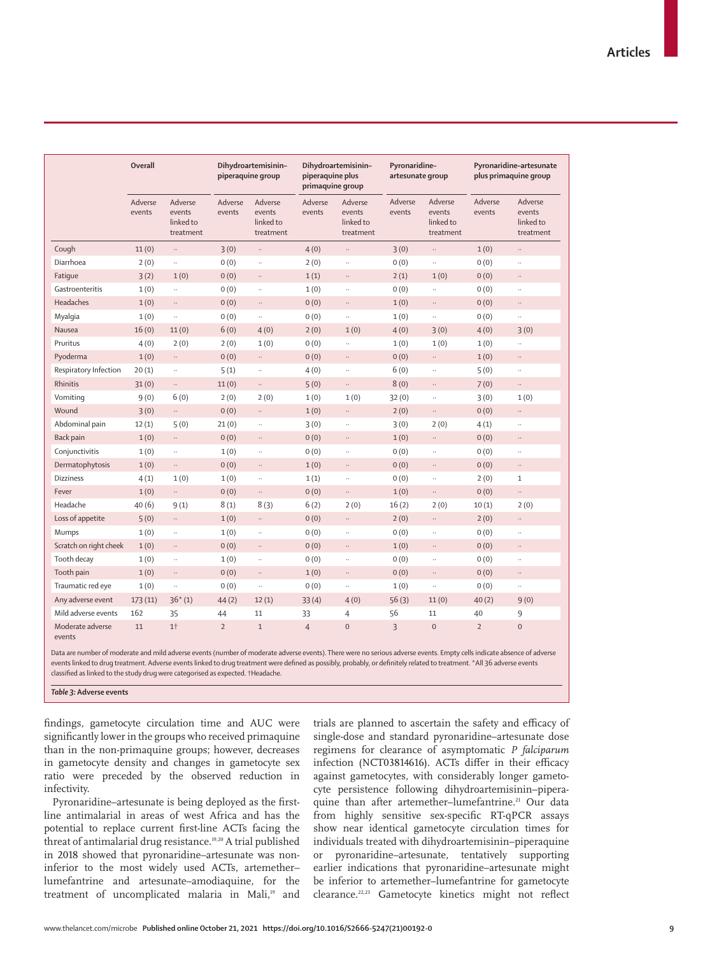|                            | <b>Overall</b>    |                                             | Dihydroartemisinin-<br>piperaquine group |                                             | Dihydroartemisinin-<br>piperaquine plus<br>primaquine group |                                             | Pyronaridine-<br>artesunate group |                                             | Pyronaridine-artesunate<br>plus primaquine group |                                             |
|----------------------------|-------------------|---------------------------------------------|------------------------------------------|---------------------------------------------|-------------------------------------------------------------|---------------------------------------------|-----------------------------------|---------------------------------------------|--------------------------------------------------|---------------------------------------------|
|                            | Adverse<br>events | Adverse<br>events<br>linked to<br>treatment | Adverse<br>events                        | Adverse<br>events<br>linked to<br>treatment | Adverse<br>events                                           | Adverse<br>events<br>linked to<br>treatment | Adverse<br>events                 | Adverse<br>events<br>linked to<br>treatment | Adverse<br>events                                | Adverse<br>events<br>linked to<br>treatment |
| Cough                      | 11(0)             | $\ldots$                                    | 3(0)                                     | $\ldots$                                    | 4(0)                                                        | $\ldots$                                    | 3(0)                              | $\ldots$                                    | 1(0)                                             | $\ldots$                                    |
| Diarrhoea                  | 2(0)              | $\ldots$                                    | 0(0)                                     | $\ddotsc$                                   | 2(0)                                                        | u,                                          | 0(0)                              | $\ddotsc$                                   | 0(0)                                             | .,                                          |
| Fatique                    | 3(2)              | 1(0)                                        | 0(0)                                     | $\ldots$                                    | 1(1)                                                        | $\ddotsc$                                   | 2(1)                              | 1(0)                                        | 0(0)                                             | $\ldots$                                    |
| Gastroenteritis            | 1(0)              | $\ldots$                                    | 0(0)                                     | $\ddotsc$                                   | 1(0)                                                        |                                             | 0(0)                              | $\ldots$                                    | 0(0)                                             | .,                                          |
| Headaches                  | 1(0)              | $\ldots$                                    | 0(0)                                     | $\cdots$                                    | 0(0)                                                        | $\ldots$                                    | 1(0)                              | $\ldots$                                    | 0(0)                                             | $\ldots$                                    |
| Myalgia                    | 1(0)              | $\ddotsc$                                   | 0(0)                                     | $\ldots$                                    | 0(0)                                                        | u,                                          | 1(0)                              | $\ldots$                                    | 0(0)                                             |                                             |
| Nausea                     | 16(0)             | 11(0)                                       | 6(0)                                     | 4(0)                                        | 2(0)                                                        | 1(0)                                        | 4(0)                              | 3(0)                                        | 4(0)                                             | 3(0)                                        |
| Pruritus                   | 4(0)              | 2(0)                                        | 2(0)                                     | 1(0)                                        | 0(0)                                                        |                                             | 1(0)                              | 1(0)                                        | 1(0)                                             | $\ddotsc$                                   |
| Pyoderma                   | 1(0)              | $\ldots$                                    | 0(0)                                     | $\ldots$                                    | 0(0)                                                        | $\ldots$                                    | 0(0)                              | $\ldots$                                    | 1(0)                                             |                                             |
| Respiratory Infection      | 20(1)             | $\ldots$                                    | 5(1)                                     | $\ddotsc$                                   | 4(0)                                                        | Ц.                                          | 6(0)                              | $\ddotsc$                                   | 5(0)                                             |                                             |
| Rhinitis                   | 31(0)             | $\ldots$                                    | 11(0)                                    | $\ldots$                                    | 5(0)                                                        | $\ldots$                                    | 8(0)                              | $\cdots$                                    | 7(0)                                             | $\ldots$                                    |
| Vomiting                   | 9(0)              | 6(0)                                        | 2(0)                                     | 2(0)                                        | 1(0)                                                        | 1(0)                                        | 32(0)                             | $\ddotsc$                                   | 3(0)                                             | 1(0)                                        |
| Wound                      | 3(0)              | $\ldots$                                    | 0(0)                                     | $\ldots$                                    | 1(0)                                                        | $\ddotsc$                                   | 2(0)                              | $\ldots$                                    | 0(0)                                             |                                             |
| Abdominal pain             | 12(1)             | 5(0)                                        | 21(0)                                    | $\ddot{\phantom{0}}$                        | 3(0)                                                        | .,                                          | 3(0)                              | 2(0)                                        | 4(1)                                             |                                             |
| Back pain                  | 1(0)              | $\ldots$                                    | 0(0)                                     | $\ldots$                                    | 0(0)                                                        | $\ldots$                                    | 1(0)                              | $\ldots$                                    | 0(0)                                             | $\ldots$                                    |
| Conjunctivitis             | 1(0)              | $\ddotsc$                                   | 1(0)                                     | $\ddotsc$                                   | 0(0)                                                        | $\ddotsc$                                   | 0(0)                              | $\ldots$                                    | 0(0)                                             |                                             |
| Dermatophytosis            | 1(0)              | $\cdot\cdot$                                | 0(0)                                     | $\ldots$                                    | 1(0)                                                        | $\ldots$                                    | 0(0)                              | $\ldots$                                    | 0(0)                                             | $\cdots$                                    |
| <b>Dizziness</b>           | 4(1)              | 1(0)                                        | 1(0)                                     | $\ddotsc$                                   | 1(1)                                                        | Ц.                                          | 0(0)                              | $\ldots$                                    | 2(0)                                             | $\mathbf{1}$                                |
| Fever                      | 1(0)              | $\ldots$                                    | 0(0)                                     | $\ldots$                                    | 0(0)                                                        | $\ldots$                                    | 1(0)                              | $\ldots$                                    | 0(0)                                             | $\ddotsc$                                   |
| Headache                   | 40(6)             | 9(1)                                        | 8(1)                                     | 8(3)                                        | 6(2)                                                        | 2(0)                                        | 16(2)                             | 2(0)                                        | 10(1)                                            | 2(0)                                        |
| Loss of appetite           | 5(0)              | $\ldots$                                    | 1(0)                                     | $\ldots$                                    | 0(0)                                                        | $\ldots$                                    | 2(0)                              | $\ldots$                                    | 2(0)                                             | $\ldots$                                    |
| Mumps                      | 1(0)              | $\ldots$                                    | 1(0)                                     | $\ldots$                                    | 0(0)                                                        | Ц.                                          | 0(0)                              | $\ddotsc$                                   | 0(0)                                             |                                             |
| Scratch on right cheek     | 1(0)              | $\ldots$                                    | 0(0)                                     | $\ldots$                                    | 0(0)                                                        | $\cdots$                                    | 1(0)                              | $\ldots$                                    | 0(0)                                             | $\ldots$                                    |
| Tooth decay                | 1(0)              | $\ldots$                                    | 1(0)                                     | $\ldots$                                    | 0(0)                                                        | u,                                          | 0(0)                              | $\ldots$                                    | 0(0)                                             |                                             |
| Tooth pain                 | 1(0)              | $\ldots$                                    | 0(0)                                     | $\ldots$                                    | 1(0)                                                        | $\ldots$                                    | 0(0)                              | $\ldots$                                    | 0(0)                                             | $\ddotsc$                                   |
| Traumatic red eye          | 1(0)              | $\ddotsc$                                   | 0(0)                                     | $\ddotsc$                                   | 0(0)                                                        |                                             | 1(0)                              | $\ldots$                                    | 0(0)                                             |                                             |
| Any adverse event          | 173(11)           | $36*(1)$                                    | 44(2)                                    | 12(1)                                       | 33(4)                                                       | 4(0)                                        | 56(3)                             | 11(0)                                       | 40(2)                                            | 9(0)                                        |
| Mild adverse events        | 162               | 35                                          | 44                                       | 11                                          | 33                                                          | $\overline{4}$                              | 56                                | 11                                          | 40                                               | 9                                           |
| Moderate adverse<br>events | 11                | 1 <sup>†</sup>                              | $\overline{2}$                           | $\mathbf{1}$                                | $\overline{4}$                                              | $\overline{0}$                              | 3                                 | $\Omega$                                    | $\overline{2}$                                   | $\overline{0}$                              |

Data are number of moderate and mild adverse events (number of moderate adverse events). There were no serious adverse events. Empty cells indicate absence of adverse events linked to drug treatment. Adverse events linked to drug treatment were defined as possibly, probably, or definitely related to treatment. \*All 36 adverse events classified as linked to the study drug were categorised as expected. †Headache.

*Table 3:* **Adverse events**

findings, gametocyte circulation time and AUC were significantly lower in the groups who received primaquine than in the non-primaquine groups; however, decreases in gametocyte density and changes in gametocyte sex ratio were preceded by the observed reduction in infectivity.

Pyronaridine–artesunate is being deployed as the firstline antimalarial in areas of west Africa and has the potential to replace current first-line ACTs facing the threat of antimalarial drug resistance.<sup>19,20</sup> A trial published in 2018 showed that pyronaridine–artesunate was noninferior to the most widely used ACTs, artemether– lumefantrine and artesunate–amodiaquine, for the treatment of uncomplicated malaria in Mali,<sup>19</sup> and trials are planned to ascertain the safety and efficacy of single-dose and standard pyronaridine–artesunate dose regimens for clearance of asymptomatic *P falciparum*  infection (NCT03814616). ACTs differ in their efficacy against gametocytes, with considerably longer gametocyte persistence following dihydroartemisinin–piperaquine than after artemether–lumefantrine.<sup>21</sup> Our data from highly sensitive sex-specific RT-qPCR assays show near identical gametocyte circulation times for individuals treated with dihydroartemisinin–piperaquine or pyronaridine–artesunate, tentatively supporting earlier indications that pyronaridine–artesunate might be inferior to artemether–lumefantrine for gametocyte clearance.22,23 Gametocyte kinetics might not reflect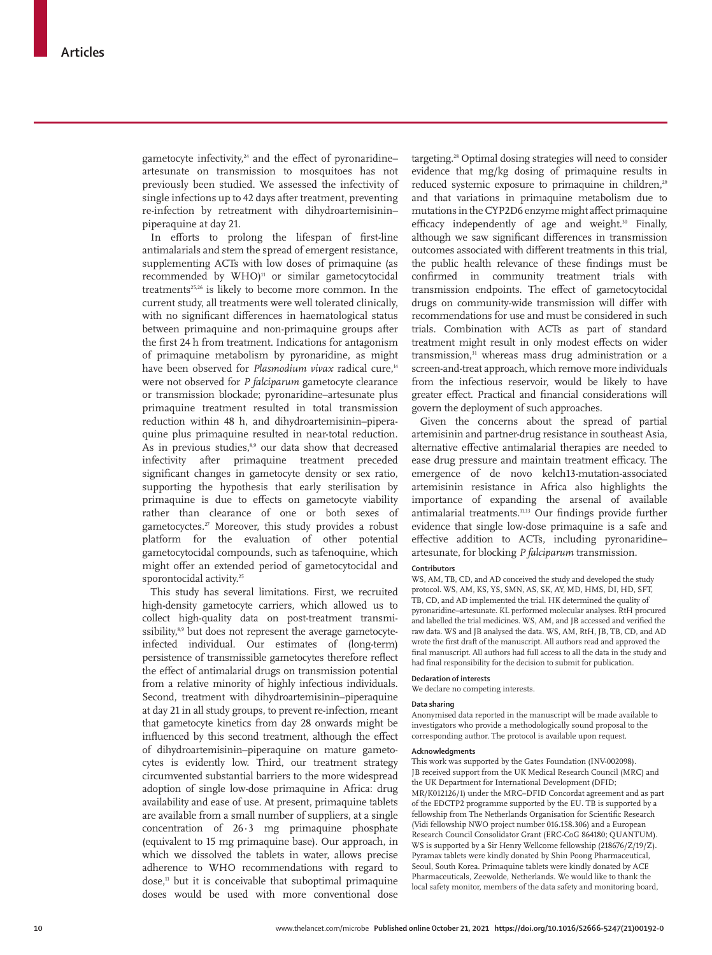gametocyte infectivity, $24$  and the effect of pyronaridine– artesunate on transmission to mosquitoes has not previously been studied. We assessed the infectivity of single infections up to 42 days after treatment, preventing re-infection by retreatment with dihydroartemisinin– piperaquine at day 21.

In efforts to prolong the lifespan of first-line antimalarials and stem the spread of emergent resistance, supplementing ACTs with low doses of primaquine (as recommended by  $WHO$ <sup>11</sup> or similar gametocytocidal treatments<sup>25,26</sup> is likely to become more common. In the current study, all treatments were well tolerated clinically, with no significant differences in haematological status between primaquine and non-primaquine groups after the first 24 h from treatment. Indications for antagonism of primaquine metabolism by pyronaridine, as might have been observed for *Plasmodium vivax* radical cure,<sup>14</sup> were not observed for *P falciparum* gametocyte clearance or transmission blockade; pyronaridine–artesunate plus primaquine treatment resulted in total transmission reduction within 48 h, and dihydroartemisinin–piperaquine plus primaquine resulted in near-total reduction. As in previous studies,<sup>8,9</sup> our data show that decreased infectivity after primaquine treatment preceded significant changes in gametocyte density or sex ratio, supporting the hypothesis that early sterilisation by primaquine is due to effects on gametocyte viability rather than clearance of one or both sexes of gametocyctes.<sup>27</sup> Moreover, this study provides a robust platform for the evaluation of other potential gametocytocidal compounds, such as tafenoquine, which might offer an extended period of gametocytocidal and sporontocidal activity.<sup>25</sup>

This study has several limitations. First, we recruited high-density gametocyte carriers, which allowed us to collect high-quality data on post-treatment transmissibility,<sup>8,9</sup> but does not represent the average gametocyteinfected individual. Our estimates of (long-term) persistence of transmissible gametocytes therefore reflect the effect of antimalarial drugs on transmission potential from a relative minority of highly infectious individuals. Second, treatment with dihydroartemisinin–piperaquine at day 21 in all study groups, to prevent re-infection, meant that gametocyte kinetics from day 28 onwards might be influenced by this second treatment, although the effect of dihydroartemisinin–piperaquine on mature gametocytes is evidently low. Third, our treatment strategy circumvented substantial barriers to the more widespread adoption of single low-dose primaquine in Africa: drug availability and ease of use. At present, primaquine tablets are available from a small number of suppliers, at a single concentration of 26·3 mg primaquine phosphate (equivalent to 15 mg primaquine base). Our approach, in which we dissolved the tablets in water, allows precise adherence to WHO recommendations with regard to dose.<sup>11</sup> but it is conceivable that suboptimal primaquine doses would be used with more conventional dose

targeting.<sup>28</sup> Optimal dosing strategies will need to consider evidence that mg/kg dosing of primaquine results in reduced systemic exposure to primaquine in children,<sup>29</sup> and that variations in primaquine metabolism due to mutations in the CYP2D6 enzyme might affect primaquine efficacy independently of age and weight.<sup>30</sup> Finally, although we saw significant differences in transmission outcomes associated with different treatments in this trial, the public health relevance of these findings must be confirmed in community treatment trials with transmission endpoints. The effect of gametocytocidal drugs on community-wide transmission will differ with recommendations for use and must be considered in such trials. Combination with ACTs as part of standard treatment might result in only modest effects on wider transmission,<sup>31</sup> whereas mass drug administration or a screen-and-treat approach, which remove more individuals from the infectious reservoir, would be likely to have greater effect. Practical and financial considerations will govern the deployment of such approaches.

Given the concerns about the spread of partial artemisinin and partner-drug resistance in southeast Asia, alternative effective antimalarial therapies are needed to ease drug pressure and maintain treatment efficacy. The emergence of de novo kelch13-mutation-associated artemisinin resistance in Africa also highlights the importance of expanding the arsenal of available antimalarial treatments.11,13 Our findings provide further evidence that single low-dose primaquine is a safe and effective addition to ACTs, including pyronaridine– artesunate, for blocking *P falciparum* transmission.

#### **Contributors**

WS, AM, TB, CD, and AD conceived the study and developed the study protocol. WS, AM, KS, YS, SMN, AS, SK, AY, MD, HMS, DI, HD, SFT, TB, CD, and AD implemented the trial. HK determined the quality of pyronaridine–artesunate. KL performed molecular analyses. RtH procured and labelled the trial medicines. WS, AM, and JB accessed and verified the raw data. WS and JB analysed the data. WS, AM, RtH, JB, TB, CD, and AD wrote the first draft of the manuscript. All authors read and approved the final manuscript. All authors had full access to all the data in the study and had final responsibility for the decision to submit for publication.

# **Declaration of interests**

We declare no competing interests.

#### **Data sharing**

Anonymised data reported in the manuscript will be made available to investigators who provide a methodologically sound proposal to the corresponding author. The protocol is available upon request.

#### **Acknowledgments**

This work was supported by the Gates Foundation (INV-002098). JB received support from the UK Medical Research Council (MRC) and the UK Department for International Development (DFID; MR/K012126/1) under the MRC–DFID Concordat agreement and as part of the EDCTP2 programme supported by the EU. TB is supported by a fellowship from The Netherlands Organisation for Scientific Research (Vidi fellowship NWO project number 016.158.306) and a European Research Council Consolidator Grant (ERC-CoG 864180; QUANTUM). WS is supported by a Sir Henry Wellcome fellowship (218676/Z/19/Z). Pyramax tablets were kindly donated by Shin Poong Pharmaceutical, Seoul, South Korea. Primaquine tablets were kindly donated by ACE Pharmaceuticals, Zeewolde, Netherlands. We would like to thank the local safety monitor, members of the data safety and monitoring board,